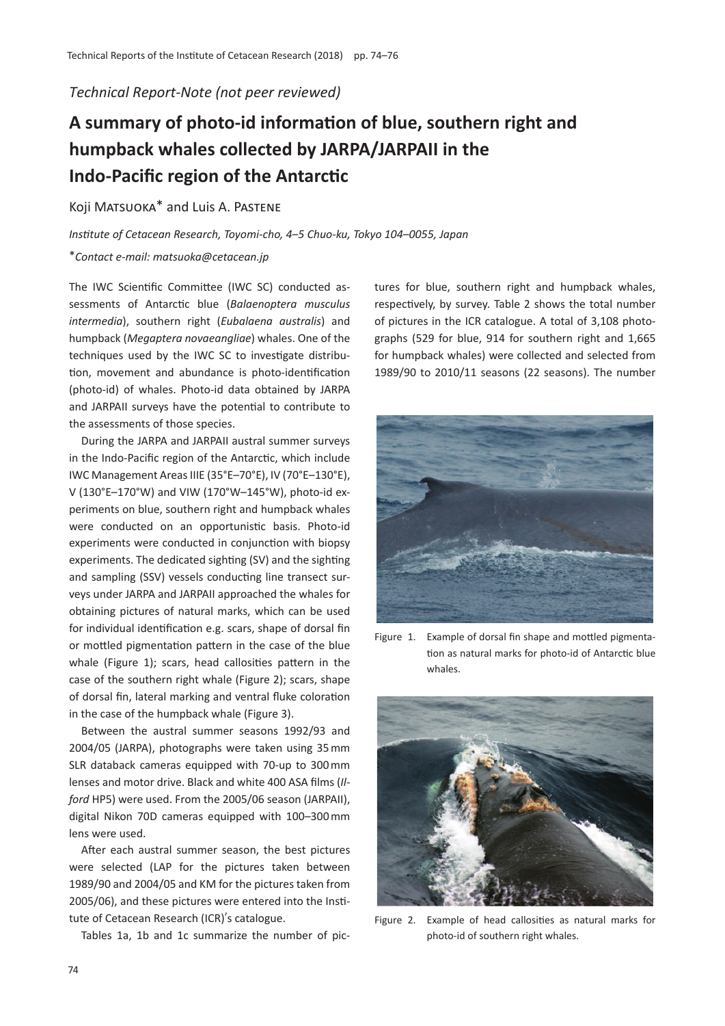### *Technical Report-Note (not peer reviewed)*

# **A summary of photo-id information of blue, southern right and humpback whales collected by JARPA/JARPAII in the Indo-Pacific region of the Antarctic**

## Koji MATSUOKA<sup>\*</sup> and Luis A. PASTENE

*Institute of Cetacean Research, Toyomi-cho, 4*–*5 Chuo-ku, Tokyo 104*–*0055, Japan*

#### \**Contact e-mail: matsuoka@cetacean.jp*

The IWC Scientific Committee (IWC SC) conducted assessments of Antarctic blue (*Balaenoptera musculus intermedia*), southern right (*Eubalaena australis*) and humpback (*Megaptera novaeangliae*) whales. One of the techniques used by the IWC SC to investigate distribution, movement and abundance is photo-identification (photo-id) of whales. Photo-id data obtained by JARPA and JARPAII surveys have the potential to contribute to the assessments of those species.

During the JARPA and JARPAII austral summer surveys in the Indo-Pacific region of the Antarctic, which include IWC Management Areas IIIE (35°E–70°E), IV (70°E–130°E), V (130°E–170°W) and VIW (170°W–145°W), photo-id experiments on blue, southern right and humpback whales were conducted on an opportunistic basis. Photo-id experiments were conducted in conjunction with biopsy experiments. The dedicated sighting (SV) and the sighting and sampling (SSV) vessels conducting line transect surveys under JARPA and JARPAII approached the whales for obtaining pictures of natural marks, which can be used for individual identification e.g. scars, shape of dorsal fin or mottled pigmentation pattern in the case of the blue whale (Figure 1); scars, head callosities pattern in the case of the southern right whale (Figure 2); scars, shape of dorsal fin, lateral marking and ventral fluke coloration in the case of the humpback whale (Figure 3).

Between the austral summer seasons 1992/93 and 2004/05 (JARPA), photographs were taken using 35 mm SLR databack cameras equipped with 70-up to 300 mm lenses and motor drive. Black and white 400 ASA films (*Ilford* HP5) were used. From the 2005/06 season (JARPAII), digital Nikon 70D cameras equipped with 100–300 mm lens were used.

After each austral summer season, the best pictures were selected (LAP for the pictures taken between 1989/90 and 2004/05 and KM for the pictures taken from 2005/06), and these pictures were entered into the Institute of Cetacean Research (ICR)'s catalogue.

Tables 1a, 1b and 1c summarize the number of pic-

tures for blue, southern right and humpback whales, respectively, by survey. Table 2 shows the total number of pictures in the ICR catalogue. A total of 3,108 photographs (529 for blue, 914 for southern right and 1,665 for humpback whales) were collected and selected from 1989/90 to 2010/11 seasons (22 seasons). The number



Figure 1. Example of dorsal fin shape and mottled pigmentation as natural marks for photo-id of Antarctic blue whales.



Figure 2. Example of head callosities as natural marks for photo-id of southern right whales.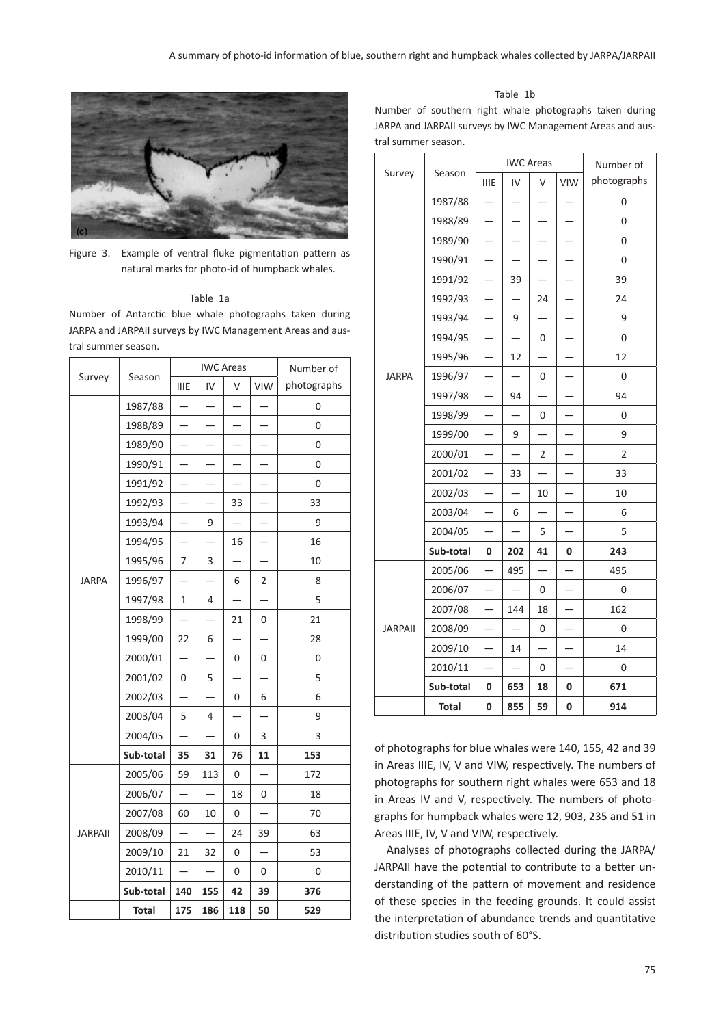

Figure 3. Example of ventral fluke pigmentation pattern as natural marks for photo-id of humpback whales.

#### Table 1a

Number of Antarctic blue whale photographs taken during JARPA and JARPAII surveys by IWC Management Areas and austral summer season.

|                | Season       | <b>IWC Areas</b>         |                          |                          |                          | Number of   |
|----------------|--------------|--------------------------|--------------------------|--------------------------|--------------------------|-------------|
| Survey         |              | <b>IIIE</b>              | IV                       | V                        | VIW                      | photographs |
|                | 1987/88      | $\overline{\phantom{0}}$ |                          |                          |                          | 0           |
|                | 1988/89      |                          |                          |                          |                          | 0           |
|                | 1989/90      |                          |                          |                          |                          | 0           |
|                | 1990/91      |                          |                          |                          |                          | 0           |
|                | 1991/92      |                          |                          |                          |                          | 0           |
|                | 1992/93      |                          |                          | 33                       |                          | 33          |
|                | 1993/94      |                          | 9                        |                          |                          | 9           |
|                | 1994/95      |                          | $\overline{\phantom{0}}$ | 16                       |                          | 16          |
|                | 1995/96      | 7                        | 3                        |                          |                          | 10          |
| <b>JARPA</b>   | 1996/97      |                          |                          | 6                        | 2                        | 8           |
|                | 1997/98      | 1                        | 4                        |                          | $\overline{\phantom{0}}$ | 5           |
|                | 1998/99      |                          |                          | 21                       | 0                        | 21          |
|                | 1999/00      | 22                       | 6                        |                          |                          | 28          |
|                | 2000/01      |                          |                          | 0                        | 0                        | 0           |
|                | 2001/02      | 0                        | 5                        | $\overline{\phantom{0}}$ | $\overline{\phantom{0}}$ | 5           |
|                | 2002/03      |                          |                          | 0                        | 6                        | 6           |
|                | 2003/04      | 5                        | 4                        |                          | $\overline{\phantom{0}}$ | 9           |
|                | 2004/05      |                          |                          | 0                        | 3                        | 3           |
|                | Sub-total    | 35                       | 31                       | 76                       | 11                       | 153         |
| <b>JARPAII</b> | 2005/06      | 59                       | 113                      | 0                        | $\overline{\phantom{0}}$ | 172         |
|                | 2006/07      |                          |                          | 18                       | 0                        | 18          |
|                | 2007/08      | 60                       | 10                       | 0                        | $\overline{\phantom{0}}$ | 70          |
|                | 2008/09      | $\overline{\phantom{0}}$ |                          | 24                       | 39                       | 63          |
|                | 2009/10      | 21                       | 32                       | 0                        |                          | 53          |
|                | 2010/11      | $\overline{\phantom{0}}$ | $\overline{\phantom{0}}$ | 0                        | 0                        | 0           |
|                | Sub-total    | 140                      | 155                      | 42                       | 39                       | 376         |
|                | <b>Total</b> | 175                      | 186                      | 118                      | 50                       | 529         |

Table 1b

Number of southern right whale photographs taken during JARPA and JARPAII surveys by IWC Management Areas and austral summer season.

|                | Season    | <b>IWC Areas</b>         |                          |                          |                          | Number of   |
|----------------|-----------|--------------------------|--------------------------|--------------------------|--------------------------|-------------|
| Survey         |           | <b>IIIE</b>              | IV                       | V                        | <b>VIW</b>               | photographs |
|                | 1987/88   |                          |                          |                          |                          | 0           |
|                | 1988/89   |                          |                          |                          |                          | 0           |
|                | 1989/90   |                          |                          |                          |                          | 0           |
|                | 1990/91   |                          |                          |                          |                          | 0           |
|                | 1991/92   |                          | 39                       |                          |                          | 39          |
|                | 1992/93   |                          |                          | 24                       |                          | 24          |
| <b>JARPA</b>   | 1993/94   |                          | 9                        |                          |                          | 9           |
|                | 1994/95   |                          |                          | 0                        |                          | 0           |
|                | 1995/96   |                          | 12                       |                          |                          | 12          |
|                | 1996/97   |                          |                          | 0                        |                          | 0           |
|                | 1997/98   | $\overline{\phantom{0}}$ | 94                       | $\overline{\phantom{0}}$ | —                        | 94          |
|                | 1998/99   |                          |                          | 0                        |                          | 0           |
|                | 1999/00   |                          | 9                        |                          |                          | 9           |
|                | 2000/01   | —                        |                          | 2                        |                          | 2           |
|                | 2001/02   |                          | 33                       |                          |                          | 33          |
|                | 2002/03   |                          |                          | 10                       |                          | 10          |
|                | 2003/04   |                          | 6                        |                          |                          | 6           |
|                | 2004/05   | $\overline{\phantom{0}}$ |                          | 5                        | $\overline{\phantom{0}}$ | 5           |
|                | Sub-total | 0                        | 202                      | 41                       | 0                        | 243         |
| <b>JARPAII</b> | 2005/06   |                          | 495                      |                          |                          | 495         |
|                | 2006/07   |                          |                          | 0                        |                          | 0           |
|                | 2007/08   |                          | 144                      | 18                       |                          | 162         |
|                | 2008/09   | $\overline{\phantom{0}}$ | $\overline{\phantom{0}}$ | 0                        |                          | 0           |
|                | 2009/10   |                          | 14                       |                          |                          | 14          |
|                | 2010/11   |                          |                          | 0                        |                          | 0           |
|                | Sub-total | 0                        | 653                      | 18                       | 0                        | 671         |
|                | Total     | 0                        | 855                      | 59                       | 0                        | 914         |

of photographs for blue whales were 140, 155, 42 and 39 in Areas IIIE, IV, V and VIW, respectively. The numbers of photographs for southern right whales were 653 and 18 in Areas IV and V, respectively. The numbers of photographs for humpback whales were 12, 903, 235 and 51 in Areas IIIE, IV, V and VIW, respectively.

Analyses of photographs collected during the JARPA/ JARPAII have the potential to contribute to a better understanding of the pattern of movement and residence of these species in the feeding grounds. It could assist the interpretation of abundance trends and quantitative distribution studies south of 60°S.